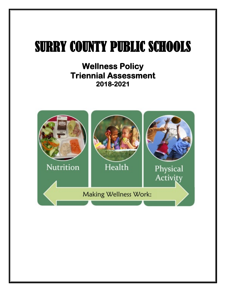# SURRY COUNTY PUBLIC SCHOOLS

**Wellness Policy Triennial Assessment 2018-2021** 

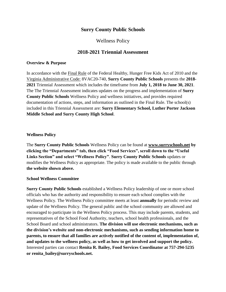## **Surry County Public Schools**

## Wellness Policy

## **2018-2021 Triennial Assessment**

#### **Overview & Purpose**

In accordance with the [Final Rule](https://fns-prod.azureedge.net/sites/default/files/tn/LWPsummary_finalrule.pdf) of the Federal Healthy, Hunger Free Kids Act of 2010 and the [Virginia Administrative Code:](https://law.lis.virginia.gov/admincode/title8/agency20/chapter740/) 8VAC20-740*,* **Surry County Public Schools** presents the **2018- 2021** Triennial Assessment which includes the timeframe from **July 1, 2018 to June 30, 2021**. The The Triennial Assessment indicates updates on the progress and implementation of **Surry County Public Schools** Wellness Policy and wellness initiatives, and provides required documentation of actions, steps, and information as outlined in the Final Rule. The school(s) included in this Triennial Assessment are: **Surry Elementary School, Luther Porter Jackson Middle School and Surry County High School**.

#### **Wellness Policy**

The **Surry County Public Schools** Wellness Policy can be found at **[www.surryschools.net](http://www.surryschools.net/) by clicking the "Departments" tab, then click "Food Services", scroll down to the "Useful Links Section" and select "Wellness Policy"**. **Surry County Public Schools** updates or modifies the Wellness Policy as appropriate. The policy is made available to the public through **the website shown above.**

#### **School Wellness Committee**

**Surry County Public Schools** established a Wellness Policy leadership of one or more school officials who has the authority and responsibility to ensure each school complies with the Wellness Policy. The Wellness Policy committee meets at least **annually** for periodic review and update of the Wellness Policy. The general public and the school community are allowed and encouraged to participate in the Wellness Policy process. This may include parents, students, and representatives of the School Food Authority, teachers, school health professionals, and the School Board and school administrators. **The division will use electronic mechanisms, such as the division's website and non-electronic mechanisms, such as sending information home to parents, to ensure that all families are actively notified of the content of, implementation of, and updates to the wellness policy, as well as how to get involved and support the policy.** Interested parties can contact **Renita R. Bailey, Food Services Coordinator at 757-294-5235 or renita\_bailey@surryschools.net.**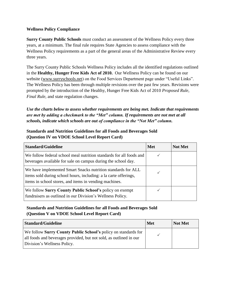### **Wellness Policy Compliance**

**Surry County Public Schools** must conduct an assessment of the Wellness Policy every three years, at a minimum. The final rule requires State Agencies to assess compliance with the Wellness Policy requirements as a part of the general areas of the Administrative Review every three years.

The Surry County Public Schools Wellness Policy includes all the identified regulations outlined in the **[Healthy, Hunger Free Kids Act of 2010.](https://obamawhitehouse.archives.gov/sites/default/files/Child_Nutrition_Fact_Sheet_12_10_10.pdf)** Our Wellness Policy can be found on our website [\(www.surryschools.net\)](http://www.surryschools.net/) on the Food Services Department page under "Useful Links". The Wellness Policy has been through multiple revisions over the past few years. Revisions were prompted by the introduction of the Healthy, Hunger Free Kids Act of 2010 *Proposed Rule*, *Final Rule*, and state regulation changes.

*Use the charts below to assess whether requirements are being met. Indicate that requirements are met by adding a checkmark to the "Met" column. If requirements are not met at all schools, indicate which schools are out of compliance in the "Not Met" column.*

## **Standards and Nutrition Guidelines for all Foods and Beverages Sold (Question IV on VDOE School Level Report Card)**

| <b>Standard/Guideline</b>                                                                                                                                                                  | <b>Met</b> | <b>Not Met</b> |
|--------------------------------------------------------------------------------------------------------------------------------------------------------------------------------------------|------------|----------------|
| We follow federal school meal nutrition standards for all foods and<br>beverages available for sale on campus during the school day.                                                       |            |                |
| We have implemented Smart Snacks nutrition standards for ALL<br>items sold during school hours, including: a la carte offerings,<br>items in school stores, and items in vending machines. |            |                |
| We follow Surry County Public School's policy on exempt<br>fundraisers as outlined in our Division's Wellness Policy.                                                                      |            |                |

## **Standards and Nutrition Guidelines for all Foods and Beverages Sold (Question V on VDOE School Level Report Card)**

| Standard/Guideline                                                                                                                   | <b>Met</b> | <b>Not Met</b> |
|--------------------------------------------------------------------------------------------------------------------------------------|------------|----------------|
| We follow Surry County Public School's policy on standards for<br>all foods and beverages provided, but not sold, as outlined in our |            |                |
| Division's Wellness Policy.                                                                                                          |            |                |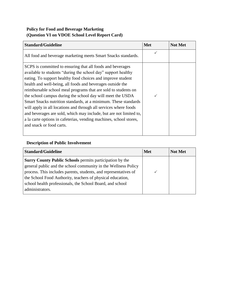## **Policy for Food and Beverage Marketing (Question VI on VDOE School Level Report Card)**

| <b>Standard/Guideline</b>                                                                                                                                                                                                                                                                                                                                                                                                                                                                                                                                                                                                                                                                               | <b>Met</b> | <b>Not Met</b> |
|---------------------------------------------------------------------------------------------------------------------------------------------------------------------------------------------------------------------------------------------------------------------------------------------------------------------------------------------------------------------------------------------------------------------------------------------------------------------------------------------------------------------------------------------------------------------------------------------------------------------------------------------------------------------------------------------------------|------------|----------------|
| All food and beverage marketing meets Smart Snacks standards.                                                                                                                                                                                                                                                                                                                                                                                                                                                                                                                                                                                                                                           |            |                |
| SCPS is committed to ensuring that all foods and beverages<br>available to students "during the school day" support healthy<br>eating. To support healthy food choices and improve student<br>health and well-being, all foods and beverages outside the<br>reimbursable school meal programs that are sold to students on<br>the school campus during the school day will meet the USDA<br>Smart Snacks nutrition standards, at a minimum. These standards<br>will apply in all locations and through all services where foods<br>and beverages are sold, which may include, but are not limited to,<br>a la carte options in cafeterias, vending machines, school stores,<br>and snack or food carts. |            |                |

# **Description of Public Involvement**

| <b>Standard/Guideline</b>                                                                                                                                                                                                                                                                                                                    | <b>Met</b> | <b>Not Met</b> |
|----------------------------------------------------------------------------------------------------------------------------------------------------------------------------------------------------------------------------------------------------------------------------------------------------------------------------------------------|------------|----------------|
| Surry County Public Schools permits participation by the<br>general public and the school community in the Wellness Policy<br>process. This includes parents, students, and representatives of<br>the School Food Authority, teachers of physical education,<br>school health professionals, the School Board, and school<br>administrators. |            |                |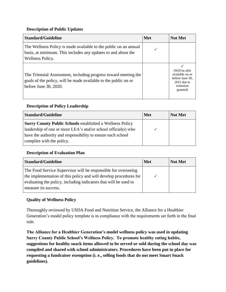### **Description of Public Updates**

| <b>Standard/Guideline</b>                                                                                                                                   | <b>Met</b> | <b>Not Met</b>                                                                                 |
|-------------------------------------------------------------------------------------------------------------------------------------------------------------|------------|------------------------------------------------------------------------------------------------|
| The Wellness Policy is made available to the public on an annual<br>basis, at minimum. This includes any updates to and about the<br>Wellness Policy.       |            |                                                                                                |
| The Triennial Assessment, including progress toward meeting the<br>goals of the policy, will be made available to the public on or<br>before June 30, 2020. |            | (Will be able)<br>available on or<br>before June 30,<br>$2021$ due to<br>extension<br>granted) |

## **Description of Policy Leadership**

| <b>Standard/Guideline</b>                                        | <b>Met</b> | <b>Not Met</b> |
|------------------------------------------------------------------|------------|----------------|
| <b>Surry County Public Schools established a Wellness Policy</b> |            |                |
| leadership of one or more LEA's and/or school official(s) who    |            |                |
| have the authority and responsibility to ensure each school      |            |                |
| complies with the policy.                                        |            |                |

## **Description of Evaluation Plan**

| <b>Standard/Guideline</b>                                         | Met | <b>Not Met</b> |
|-------------------------------------------------------------------|-----|----------------|
| The Food Service Supervisor will be responsible for overseeing    |     |                |
| the implementation of this policy and will develop procedures for |     |                |
| evaluating the policy, including indicators that will be used to  |     |                |
| measure its success.                                              |     |                |

## **Quality of Wellness Policy**

Thoroughly reviewed by USDA Food and Nutrition Service, the Alliance for a Healthier Generation's model policy template is in compliance with the requirements set forth in the final rule.

**The Alliance for a Healthier Generation's model wellness policy was used in updating Surry County Public School's Wellness Policy. To promote healthy eating habits, suggestions for healthy snack items allowed to be served or sold during the school day was compiled and shared with school administrators. Procedures have been put in place for requesting a fundraiser exemption (i. e., selling foods that do not meet Smart Snack guidelines).**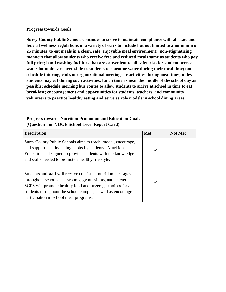#### **Progress towards Goals**

**Surry County Public Schools continues to strive to maintain compliance with all state and federal wellness regulations in a variety of ways to include but not limited to a minimum of 25 minutes to eat meals in a clean, safe, enjoyable meal environment; non-stigmatizing manners that allow students who receive free and reduced meals same as students who pay full price; hand washing facilities that are convenient to all cafeterias for student access; water fountains are accessible to students to consume water during their meal time; not schedule tutoring, club, or organizational meetings or activities during mealtimes, unless students may eat during such activities; lunch time as near the middle of the school day as possible; schedule morning bus routes to allow students to arrive at school in time to eat breakfast; encouragement and opportunities for students, teachers, and community volunteers to practice healthy eating and serve as role models in school dining areas.**

## **Progress towards Nutrition Promotion and Education Goals (Question I on VDOE School Level Report Card)**

| <b>Description</b>                                                                                                                                                                                                                                                                                   | Met | <b>Not Met</b> |
|------------------------------------------------------------------------------------------------------------------------------------------------------------------------------------------------------------------------------------------------------------------------------------------------------|-----|----------------|
| Surry County Public Schools aims to teach, model, encourage,<br>and support healthy eating habits by students. Nutrition<br>Education is designed to provide students with the knowledge<br>and skills needed to promote a healthy life style.                                                       |     |                |
| Students and staff will receive consistent nutrition messages<br>throughout schools, classrooms, gymnasiums, and cafeterias.<br>SCPS will promote healthy food and beverage choices for all<br>students throughout the school campus, as well as encourage<br>participation in school meal programs. |     |                |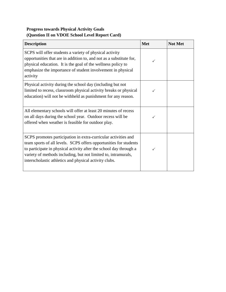# **Progress towards Physical Activity Goals (Question II on VDOE School Level Report Card)**

| <b>Description</b>                                                                                                                                                                                                                                                                                                                    | <b>Met</b> | <b>Not Met</b> |
|---------------------------------------------------------------------------------------------------------------------------------------------------------------------------------------------------------------------------------------------------------------------------------------------------------------------------------------|------------|----------------|
| SCPS will offer students a variety of physical activity<br>opportunities that are in addition to, and not as a substitute for,<br>physical education. It is the goal of the wellness policy to<br>emphasize the importance of student involvement in physical<br>activity                                                             |            |                |
| Physical activity during the school day (including but not<br>limited to recess, classroom physical activity breaks or physical<br>education) will not be withheld as punishment for any reason.                                                                                                                                      |            |                |
| All elementary schools will offer at least 20 minutes of recess<br>on all days during the school year. Outdoor recess will be<br>offered when weather is feasible for outdoor play.                                                                                                                                                   |            |                |
| SCPS promotes participation in extra-curricular activities and<br>team sports of all levels. SCPS offers opportunities for students<br>to participate in physical activity after the school day through a<br>variety of methods including, but not limited to, intramurals,<br>interscholastic athletics and physical activity clubs. |            |                |